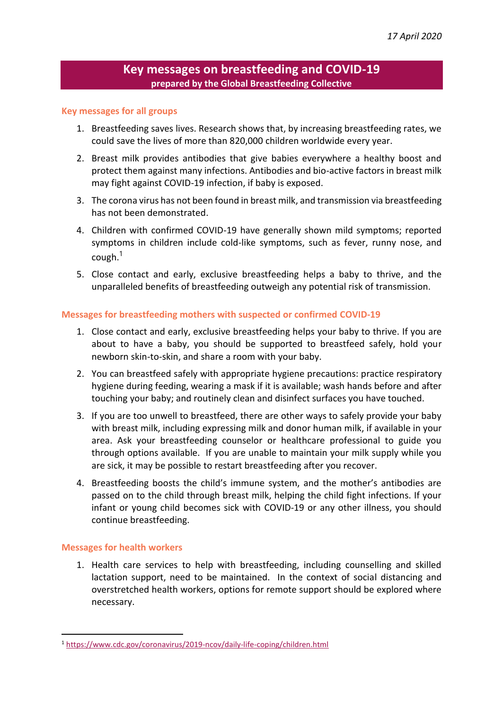# **Key messages on breastfeeding and COVID-19 prepared by the Global Breastfeeding Collective**

## **Key messages for all groups**

- 1. Breastfeeding saves lives. Research shows that, by increasing breastfeeding rates, we could save the lives of more than 820,000 children worldwide every year.
- 2. Breast milk provides antibodies that give babies everywhere a healthy boost and protect them against many infections. Antibodies and bio-active factors in breast milk may fight against COVID-19 infection, if baby is exposed.
- 3. The corona virus has not been found in breast milk, and transmission via breastfeeding has not been demonstrated.
- 4. Children with confirmed COVID-19 have generally shown mild symptoms; reported symptoms in children include cold-like symptoms, such as fever, runny nose, and  $cough.<sup>1</sup>$
- 5. Close contact and early, exclusive breastfeeding helps a baby to thrive, and the unparalleled benefits of breastfeeding outweigh any potential risk of transmission.

## **Messages for breastfeeding mothers with suspected or confirmed COVID-19**

- 1. Close contact and early, exclusive breastfeeding helps your baby to thrive. If you are about to have a baby, you should be supported to breastfeed safely, hold your newborn skin-to-skin, and share a room with your baby.
- 2. You can breastfeed safely with appropriate hygiene precautions: practice respiratory hygiene during feeding, wearing a mask if it is available; wash hands before and after touching your baby; and routinely clean and disinfect surfaces you have touched.
- 3. If you are too unwell to breastfeed, there are other ways to safely provide your baby with breast milk, including expressing milk and donor human milk, if available in your area. Ask your breastfeeding counselor or healthcare professional to guide you through options available. If you are unable to maintain your milk supply while you are sick, it may be possible to restart breastfeeding after you recover.
- 4. Breastfeeding boosts the child's immune system, and the mother's antibodies are passed on to the child through breast milk, helping the child fight infections. If your infant or young child becomes sick with COVID-19 or any other illness, you should continue breastfeeding.

#### **Messages for health workers**

1. Health care services to help with breastfeeding, including counselling and skilled lactation support, need to be maintained. In the context of social distancing and overstretched health workers, options for remote support should be explored where necessary.

<sup>1</sup> https://www.cdc.gov/coronavirus/2019-ncov/daily-life-coping/children.html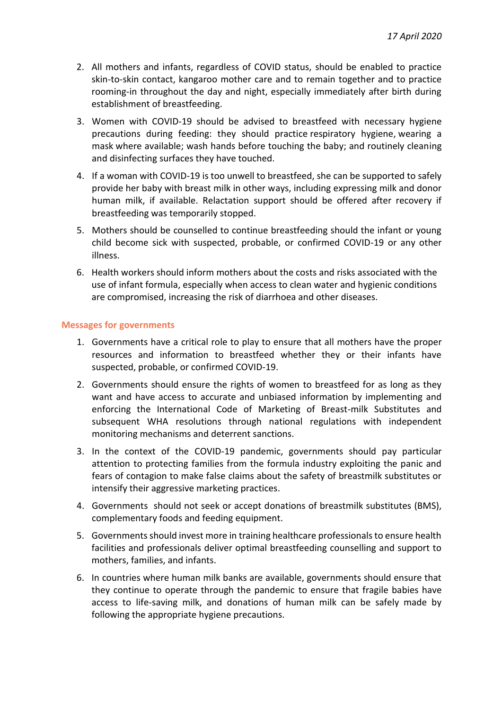- 2. All mothers and infants, regardless of COVID status, should be enabled to practice skin-to-skin contact, kangaroo mother care and to remain together and to practice rooming-in throughout the day and night, especially immediately after birth during establishment of breastfeeding.
- 3. Women with COVID-19 should be advised to breastfeed with necessary hygiene precautions during feeding: they should practice respiratory hygiene, wearing a mask where available; wash hands before touching the baby; and routinely cleaning and disinfecting surfaces they have touched.
- 4. If a woman with COVID-19 is too unwell to breastfeed, she can be supported to safely provide her baby with breast milk in other ways, including expressing milk and donor human milk, if available. Relactation support should be offered after recovery if breastfeeding was temporarily stopped.
- 5. Mothers should be counselled to continue breastfeeding should the infant or young child become sick with suspected, probable, or confirmed COVID-19 or any other illness.
- 6. Health workers should inform mothers about the costs and risks associated with the use of infant formula, especially when access to clean water and hygienic conditions are compromised, increasing the risk of diarrhoea and other diseases.

## **Messages for governments**

- 1. Governments have a critical role to play to ensure that all mothers have the proper resources and information to breastfeed whether they or their infants have suspected, probable, or confirmed COVID-19.
- 2. Governments should ensure the rights of women to breastfeed for as long as they want and have access to accurate and unbiased information by implementing and enforcing the International Code of Marketing of Breast-milk Substitutes and subsequent WHA resolutions through national regulations with independent monitoring mechanisms and deterrent sanctions.
- 3. In the context of the COVID-19 pandemic, governments should pay particular attention to protecting families from the formula industry exploiting the panic and fears of contagion to make false claims about the safety of breastmilk substitutes or intensify their aggressive marketing practices.
- 4. Governments should not seek or accept donations of breastmilk substitutes (BMS), complementary foods and feeding equipment.
- 5. Governments should invest more in training healthcare professionals to ensure health facilities and professionals deliver optimal breastfeeding counselling and support to mothers, families, and infants.
- 6. In countries where human milk banks are available, governments should ensure that they continue to operate through the pandemic to ensure that fragile babies have access to life-saving milk, and donations of human milk can be safely made by following the appropriate hygiene precautions.